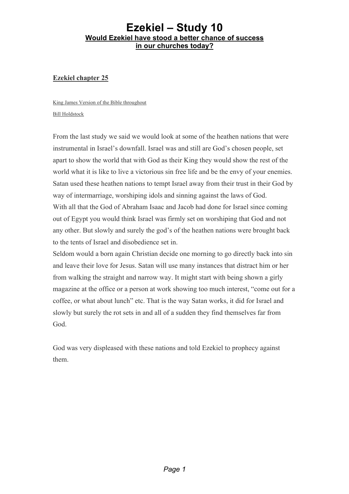#### **Ezekiel chapter 25**

King James Version of the Bible throughout Bill Holdstock

From the last study we said we would look at some of the heathen nations that were instrumental in Israel's downfall. Israel was and still are God's chosen people, set apart to show the world that with God as their King they would show the rest of the world what it is like to live a victorious sin free life and be the envy of your enemies. Satan used these heathen nations to tempt Israel away from their trust in their God by way of intermarriage, worshiping idols and sinning against the laws of God. With all that the God of Abraham Isaac and Jacob had done for Israel since coming out of Egypt you would think Israel was firmly set on worshiping that God and not any other. But slowly and surely the god's of the heathen nations were brought back to the tents of Israel and disobedience set in.

Seldom would a born again Christian decide one morning to go directly back into sin and leave their love for Jesus. Satan will use many instances that distract him or her from walking the straight and narrow way. It might start with being shown a girly magazine at the office or a person at work showing too much interest, "come out for a coffee, or what about lunch" etc. That is the way Satan works, it did for Israel and slowly but surely the rot sets in and all of a sudden they find themselves far from God.

God was very displeased with these nations and told Ezekiel to prophecy against them.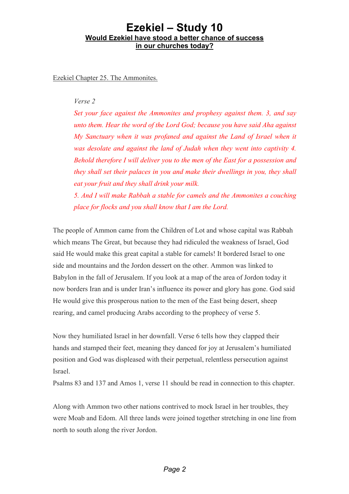Ezekiel Chapter 25. The Ammonites.

#### *Verse 2*

*Set your face against the Ammonites and prophesy against them. 3, and say unto them. Hear the word of the Lord God; because you have said Aha against My Sanctuary when it was profaned and against the Land of Israel when it was desolate and against the land of Judah when they went into captivity 4. Behold therefore I will deliver you to the men of the East for a possession and they shall set their palaces in you and make their dwellings in you, they shall eat your fruit and they shall drink your milk.*

*5. And I will make Rabbah a stable for camels and the Ammonites a couching place for flocks and you shall know that I am the Lord.*

The people of Ammon came from the Children of Lot and whose capital was Rabbah which means The Great, but because they had ridiculed the weakness of Israel, God said He would make this great capital a stable for camels! It bordered Israel to one side and mountains and the Jordon dessert on the other. Ammon was linked to Babylon in the fall of Jerusalem. If you look at a map of the area of Jordon today it now borders Iran and is under Iran's influence its power and glory has gone. God said He would give this prosperous nation to the men of the East being desert, sheep rearing, and camel producing Arabs according to the prophecy of verse 5.

Now they humiliated Israel in her downfall. Verse 6 tells how they clapped their hands and stamped their feet, meaning they danced for joy at Jerusalem's humiliated position and God was displeased with their perpetual, relentless persecution against Israel.

Psalms 83 and 137 and Amos 1, verse 11 should be read in connection to this chapter.

Along with Ammon two other nations contrived to mock Israel in her troubles, they were Moab and Edom. All three lands were joined together stretching in one line from north to south along the river Jordon.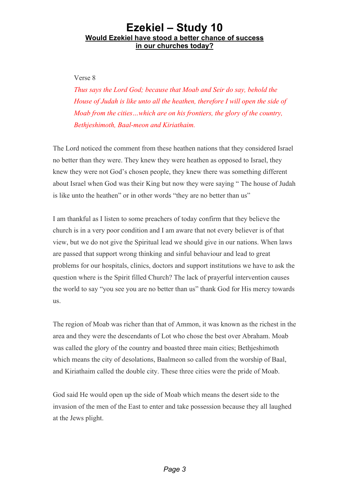Verse 8

*Thus says the Lord God; because that Moab and Seir do say, behold the House of Judah is like unto all the heathen, therefore I will open the side of Moab from the cities…which are on his frontiers, the glory of the country, Bethjeshimoth, Baal-meon and Kiriathaim.*

The Lord noticed the comment from these heathen nations that they considered Israel no better than they were. They knew they were heathen as opposed to Israel, they knew they were not God's chosen people, they knew there was something different about Israel when God was their King but now they were saying " The house of Judah is like unto the heathen" or in other words "they are no better than us"

I am thankful as I listen to some preachers of today confirm that they believe the church is in a very poor condition and I am aware that not every believer is of that view, but we do not give the Spiritual lead we should give in our nations. When laws are passed that support wrong thinking and sinful behaviour and lead to great problems for our hospitals, clinics, doctors and support institutions we have to ask the question where is the Spirit filled Church? The lack of prayerful intervention causes the world to say "you see you are no better than us" thank God for His mercy towards us.

The region of Moab was richer than that of Ammon, it was known as the richest in the area and they were the descendants of Lot who chose the best over Abraham. Moab was called the glory of the country and boasted three main cities; Bethjeshimoth which means the city of desolations, Baalmeon so called from the worship of Baal, and Kiriathaim called the double city. These three cities were the pride of Moab.

God said He would open up the side of Moab which means the desert side to the invasion of the men of the East to enter and take possession because they all laughed at the Jews plight.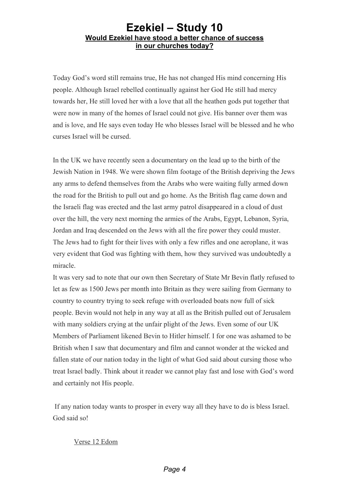Today God's word still remains true, He has not changed His mind concerning His people. Although Israel rebelled continually against her God He still had mercy towards her, He still loved her with a love that all the heathen gods put together that were now in many of the homes of Israel could not give. His banner over them was and is love, and He says even today He who blesses Israel will be blessed and he who curses Israel will be cursed.

In the UK we have recently seen a documentary on the lead up to the birth of the Jewish Nation in 1948. We were shown film footage of the British depriving the Jews any arms to defend themselves from the Arabs who were waiting fully armed down the road for the British to pull out and go home. As the British flag came down and the Israeli flag was erected and the last army patrol disappeared in a cloud of dust over the hill, the very next morning the armies of the Arabs, Egypt, Lebanon, Syria, Jordan and Iraq descended on the Jews with all the fire power they could muster. The Jews had to fight for their lives with only a few rifles and one aeroplane, it was very evident that God was fighting with them, how they survived was undoubtedly a miracle.

It was very sad to note that our own then Secretary of State Mr Bevin flatly refused to let as few as 1500 Jews per month into Britain as they were sailing from Germany to country to country trying to seek refuge with overloaded boats now full of sick people. Bevin would not help in any way at all as the British pulled out of Jerusalem with many soldiers crying at the unfair plight of the Jews. Even some of our UK Members of Parliament likened Bevin to Hitler himself. I for one was ashamed to be British when I saw that documentary and film and cannot wonder at the wicked and fallen state of our nation today in the light of what God said about cursing those who treat Israel badly. Think about it reader we cannot play fast and lose with God's word and certainly not His people.

If any nation today wants to prosper in every way all they have to do is bless Israel. God said so!

#### Verse 12 Edom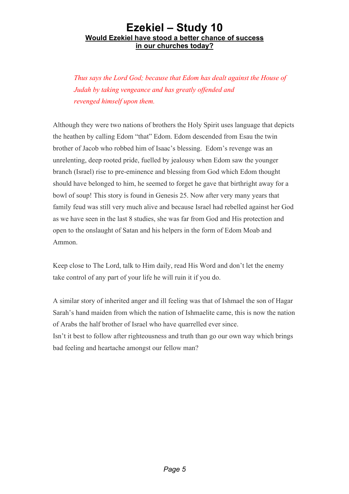*Thus says the Lord God; because that Edom has dealt against the House of Judah by taking vengeance and has greatly offended and revenged himself upon them.*

Although they were two nations of brothers the Holy Spirit uses language that depicts the heathen by calling Edom "that" Edom. Edom descended from Esau the twin brother of Jacob who robbed him of Isaac's blessing. Edom's revenge was an unrelenting, deep rooted pride, fuelled by jealousy when Edom saw the younger branch (Israel) rise to pre-eminence and blessing from God which Edom thought should have belonged to him, he seemed to forget he gave that birthright away for a bowl of soup! This story is found in Genesis 25. Now after very many years that family feud was still very much alive and because Israel had rebelled against her God as we have seen in the last 8 studies, she was far from God and His protection and open to the onslaught of Satan and his helpers in the form of Edom Moab and Ammon.

Keep close to The Lord, talk to Him daily, read His Word and don't let the enemy take control of any part of your life he will ruin it if you do.

A similar story of inherited anger and ill feeling was that of Ishmael the son of Hagar Sarah's hand maiden from which the nation of Ishmaelite came, this is now the nation of Arabs the half brother of Israel who have quarrelled ever since. Isn't it best to follow after righteousness and truth than go our own way which brings bad feeling and heartache amongst our fellow man?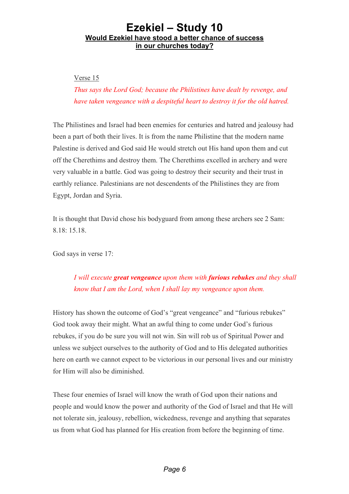Verse 15

*Thus says the Lord God; because the Philistines have dealt by revenge, and have taken vengeance with a despiteful heart to destroy it for the old hatred.*

The Philistines and Israel had been enemies for centuries and hatred and jealousy had been a part of both their lives. It is from the name Philistine that the modern name Palestine is derived and God said He would stretch out His hand upon them and cut off the Cherethims and destroy them. The Cherethims excelled in archery and were very valuable in a battle. God was going to destroy their security and their trust in earthly reliance. Palestinians are not descendents of the Philistines they are from Egypt, Jordan and Syria.

It is thought that David chose his bodyguard from among these archers see 2 Sam: 8.18: 15.18.

God says in verse 17:

*I will execute great vengeance upon them with furious rebukes and they shall know that I am the Lord, when I shall lay my vengeance upon them.*

History has shown the outcome of God's "great vengeance" and "furious rebukes" God took away their might. What an awful thing to come under God's furious rebukes, if you do be sure you will not win. Sin will rob us of Spiritual Power and unless we subject ourselves to the authority of God and to His delegated authorities here on earth we cannot expect to be victorious in our personal lives and our ministry for Him will also be diminished.

These four enemies of Israel will know the wrath of God upon their nations and people and would know the power and authority of the God of Israel and that He will not tolerate sin, jealousy, rebellion, wickedness, revenge and anything that separates us from what God has planned for His creation from before the beginning of time.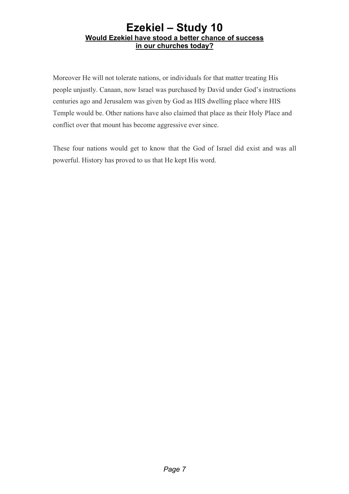Moreover He will not tolerate nations, or individuals for that matter treating His people unjustly. Canaan, now Israel was purchased by David under God's instructions centuries ago and Jerusalem was given by God as HIS dwelling place where HIS Temple would be. Other nations have also claimed that place as their Holy Place and conflict over that mount has become aggressive ever since.

These four nations would get to know that the God of Israel did exist and was all powerful. History has proved to us that He kept His word.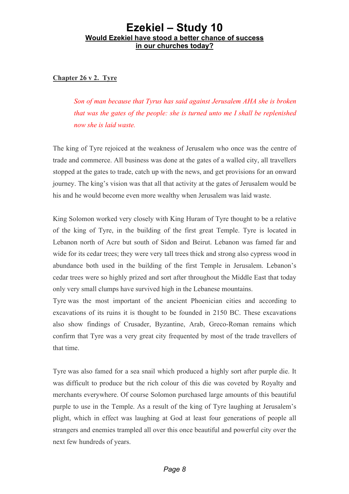**Chapter 26 v 2. Tyre**

*Son of man because that Tyrus has said against Jerusalem AHA she is broken that was the gates of the people: she is turned unto me I shall be replenished now she is laid waste.*

The king of Tyre rejoiced at the weakness of Jerusalem who once was the centre of trade and commerce. All business was done at the gates of a walled city, all travellers stopped at the gates to trade, catch up with the news, and get provisions for an onward journey. The king's vision was that all that activity at the gates of Jerusalem would be his and he would become even more wealthy when Jerusalem was laid waste.

King Solomon worked very closely with King Huram of Tyre thought to be a relative of the king of Tyre, in the building of the first great Temple. Tyre is located in Lebanon north of Acre but south of Sidon and Beirut. Lebanon was famed far and wide for its cedar trees; they were very tall trees thick and strong also cypress wood in abundance both used in the building of the first Temple in Jerusalem. Lebanon's cedar trees were so highly prized and sort after throughout the Middle East that today only very small clumps have survived high in the Lebanese mountains.

Tyre was the most important of the ancient Phoenician cities and according to excavations of its ruins it is thought to be founded in 2150 BC. These excavations also show findings of Crusader, Byzantine, Arab, Greco-Roman remains which confirm that Tyre was a very great city frequented by most of the trade travellers of that time.

Tyre was also famed for a sea snail which produced a highly sort after purple die. It was difficult to produce but the rich colour of this die was coveted by Royalty and merchants everywhere. Of course Solomon purchased large amounts of this beautiful purple to use in the Temple. As a result of the king of Tyre laughing at Jerusalem's plight, which in effect was laughing at God at least four generations of people all strangers and enemies trampled all over this once beautiful and powerful city over the next few hundreds of years.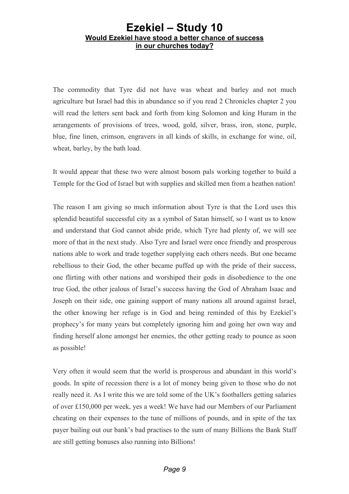The commodity that Tyre did not have was wheat and barley and not much agriculture but Israel had this in abundance so if you read 2 Chronicles chapter 2 you will read the letters sent back and forth from king Solomon and king Huram in the arrangements of provisions of trees, wood, gold, silver, brass, iron, stone, purple, blue, fine linen, crimson, engravers in all kinds of skills, in exchange for wine, oil, wheat, barley, by the bath load.

It would appear that these two were almost bosom pals working together to build a Temple for the God of Israel but with supplies and skilled men from a heathen nation!

The reason I am giving so much information about Tyre is that the Lord uses this splendid beautiful successful city as a symbol of Satan himself, so I want us to know and understand that God cannot abide pride, which Tyre had plenty of, we will see more of that in the next study. Also Tyre and Israel were once friendly and prosperous nations able to work and trade together supplying each others needs. But one became rebellious to their God, the other became puffed up with the pride of their success, one flirting with other nations and worshiped their gods in disobedience to the one true God, the other jealous of Israel's success having the God of Abraham Isaac and Joseph on their side, one gaining support of many nations all around against Israel, the other knowing her refuge is in God and being reminded of this by Ezekiel's prophecy's for many years but completely ignoring him and going her own way and finding herself alone amongst her enemies, the other getting ready to pounce as soon as possible!

Very often it would seem that the world is prosperous and abundant in this world's goods. In spite of recession there is a lot of money being given to those who do not really need it. As I write this we are told some of the UK's footballers getting salaries of over £150,000 per week, yes a week! We have had our Members of our Parliament cheating on their expenses to the tune of millions of pounds, and in spite of the tax payer bailing out our bank's bad practises to the sum of many Billions the Bank Staff are still getting bonuses also running into Billions!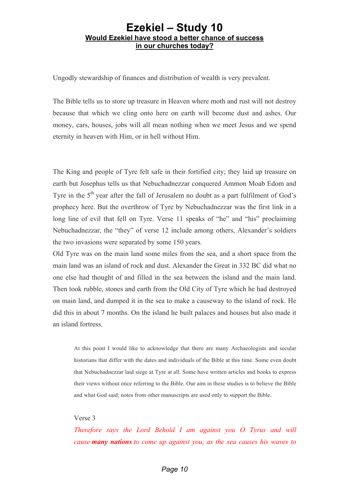Ungodly stewardship of finances and distribution of wealth is very prevalent.

The Bible tells us to store up treasure in Heaven where moth and rust will not destroy because that which we cling onto here on earth will become dust and ashes. Our money, cars, houses, jobs will all mean nothing when we meet Jesus and we spend eternity in heaven with Him, or in hell without Him.

The King and people of Tyre felt safe in their fortified city; they laid up treasure on earth but Josephus tells us that Nebuchadnezzar conquered Ammon Moab Edom and Tyre in the  $5<sup>th</sup>$  year after the fall of Jerusalem no doubt as a part fulfilment of God's prophecy here. But the overthrow of Tyre by Nebuchadnezzar was the first link in a long line of evil that fell on Tyre. Verse 11 speaks of "he" and "his" proclaiming Nebuchadnezzar, the "they" of verse 12 include among others, Alexander's soldiers the two invasions were separated by some 150 years.

Old Tyre was on the main land some miles from the sea, and a short space from the main land was an island of rock and dust. Alexander the Great in 332 BC did what no one else had thought of and filled in the sea between the island and the main land. Then took rubble, stones and earth from the Old City of Tyre which he had destroyed on main land, and dumped it in the sea to make a causeway to the island of rock. He did this in about 7 months. On the island he built palaces and houses but also made it an island fortress.

At this point I would like to acknowledge that there are many Archaeologists and secular historians that differ with the dates and individuals of the Bible at this time. Some even doubt that Nebuchadnezzar laid siege at Tyre at all. Some have written articles and books to express their views without once referring to the Bible. Our aim in these studies is to believe the Bible and what God said; notes from other manuscripts are used only to support the Bible.

#### Verse 3

*Therefore says the Lord Behold I am against you O Tyrus and will cause many nations to come up against you, as the sea causes his waves to*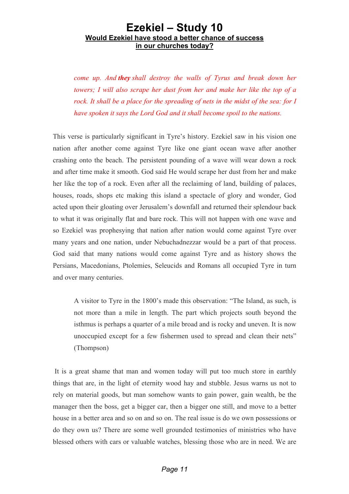*come up. And they shall destroy the walls of Tyrus and break down her towers; I will also scrape her dust from her and make her like the top of a rock. It shall be a place for the spreading of nets in the midst of the sea: for I have spoken it says the Lord God and it shall become spoil to the nations.*

This verse is particularly significant in Tyre's history. Ezekiel saw in his vision one nation after another come against Tyre like one giant ocean wave after another crashing onto the beach. The persistent pounding of a wave will wear down a rock and after time make it smooth. God said He would scrape her dust from her and make her like the top of a rock. Even after all the reclaiming of land, building of palaces, houses, roads, shops etc making this island a spectacle of glory and wonder, God acted upon their gloating over Jerusalem's downfall and returned their splendour back to what it was originally flat and bare rock. This will not happen with one wave and so Ezekiel was prophesying that nation after nation would come against Tyre over many years and one nation, under Nebuchadnezzar would be a part of that process. God said that many nations would come against Tyre and as history shows the Persians, Macedonians, Ptolemies, Seleucids and Romans all occupied Tyre in turn and over many centuries.

A visitor to Tyre in the 1800's made this observation: "The Island, as such, is not more than a mile in length. The part which projects south beyond the isthmus is perhaps a quarter of a mile broad and is rocky and uneven. It is now unoccupied except for a few fishermen used to spread and clean their nets" (Thompson)

It is a great shame that man and women today will put too much store in earthly things that are, in the light of eternity wood hay and stubble. Jesus warns us not to rely on material goods, but man somehow wants to gain power, gain wealth, be the manager then the boss, get a bigger car, then a bigger one still, and move to a better house in a better area and so on and so on. The real issue is do we own possessions or do they own us? There are some well grounded testimonies of ministries who have blessed others with cars or valuable watches, blessing those who are in need. We are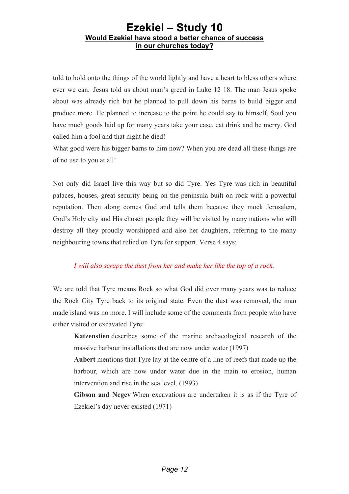told to hold onto the things of the world lightly and have a heart to bless others where ever we can. Jesus told us about man's greed in Luke 12 18. The man Jesus spoke about was already rich but he planned to pull down his barns to build bigger and produce more. He planned to increase to the point he could say to himself, Soul you have much goods laid up for many years take your ease, eat drink and be merry. God called him a fool and that night he died!

What good were his bigger barns to him now? When you are dead all these things are of no use to you at all!

Not only did Israel live this way but so did Tyre. Yes Tyre was rich in beautiful palaces, houses, great security being on the peninsula built on rock with a powerful reputation. Then along comes God and tells them because they mock Jerusalem, God's Holy city and His chosen people they will be visited by many nations who will destroy all they proudly worshipped and also her daughters, referring to the many neighbouring towns that relied on Tyre for support. Verse 4 says;

#### *I will also scrape the dust from her and make her like the top of a rock.*

We are told that Tyre means Rock so what God did over many years was to reduce the Rock City Tyre back to its original state. Even the dust was removed, the man made island was no more. I will include some of the comments from people who have either visited or excavated Tyre:

**Katzenstien** describes some of the marine archaeological research of the massive harbour installations that are now under water (1997)

**Aubert** mentions that Tyre lay at the centre of a line of reefs that made up the harbour, which are now under water due in the main to erosion, human intervention and rise in the sea level. (1993)

**Gibson and Negev** When excavations are undertaken it is as if the Tyre of Ezekiel's day never existed (1971)